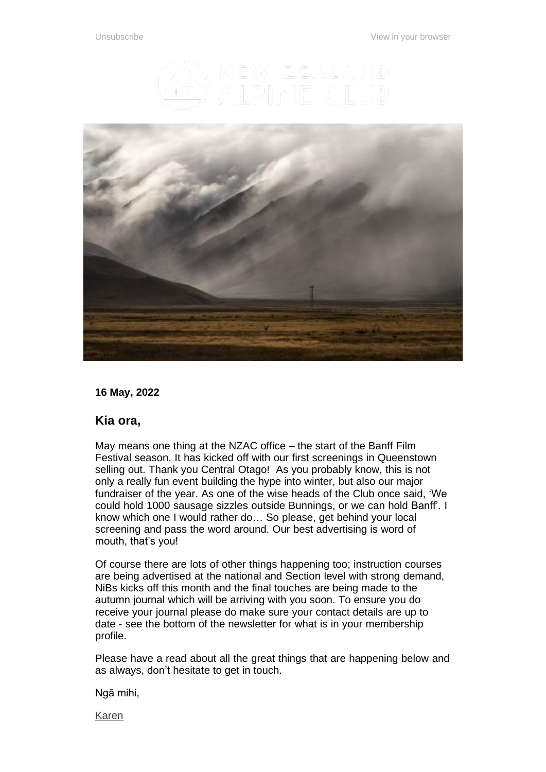



**16 May, 2022**

## **Kia ora,**

May means one thing at the NZAC office – the start of the Banff Film Festival season. It has kicked off with our first screenings in Queenstown selling out. Thank you Central Otago! As you probably know, this is not only a really fun event building the hype into winter, but also our major fundraiser of the year. As one of the wise heads of the Club once said, 'We could hold 1000 sausage sizzles outside Bunnings, or we can hold Banff'. I know which one I would rather do… So please, get behind your local screening and pass the word around. Our best advertising is word of mouth, that's you!

Of course there are lots of other things happening too; instruction courses are being advertised at the national and Section level with strong demand, NiBs kicks off this month and the final touches are being made to the autumn journal which will be arriving with you soon. To ensure you do receive your journal please do make sure your contact details are up to date - see the bottom of the newsletter for what is in your membership profile.

Please have a read about all the great things that are happening below and as always, don't hesitate to get in touch.

Ngā mihi,

[Karen](mailto:general.manager@alpineclub.org.nz)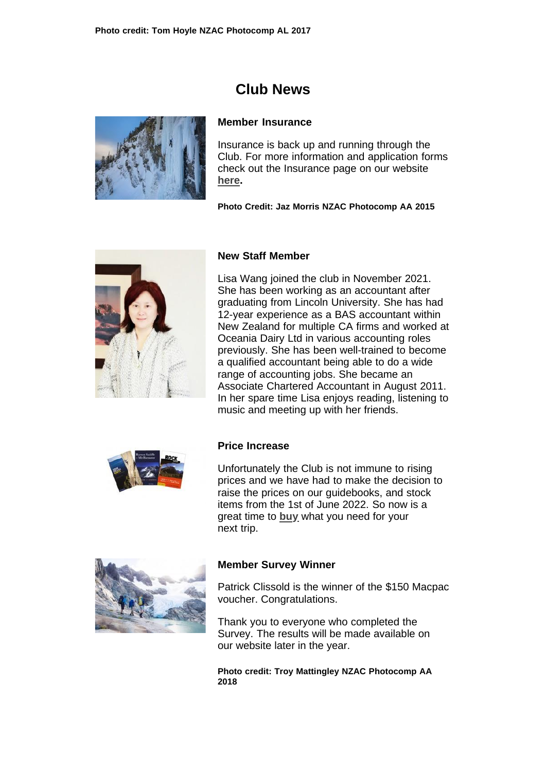# **Club News**



## **Member Insurance**

Insurance is back up and running through the Club. For more information and application forms check out the Insurance page on our website **[here.](https://alpineclub.org.nz/insurance)**

**Photo Credit: Jaz Morris NZAC Photocomp AA 2015**



## **New Staff Member**

Lisa Wang joined the club in November 2021. She has been working as an accountant after graduating from Lincoln University. She has had 12-year experience as a BAS accountant within New Zealand for multiple CA firms and worked at Oceania Dairy Ltd in various accounting roles previously. She has been well-trained to become a qualified accountant being able to do a wide range of accounting jobs. She became an Associate Chartered Accountant in August 2011. In her spare time Lisa enjoys reading, listening to music and meeting up with her friends.



## **Price Increase**

Unfortunately the Club is not immune to rising prices and we have had to make the decision to raise the prices on our guidebooks, and stock items from the 1st of June 2022. So now is a great time to **[buy](https://shop.alpineclub.org.nz/)** what you need for your next trip.



#### **Member Survey Winner**

Patrick Clissold is the winner of the \$150 Macpac voucher. Congratulations.

Thank you to everyone who completed the Survey. The results will be made available on our website later in the year.

**Photo credit: Troy Mattingley NZAC Photocomp AA 2018**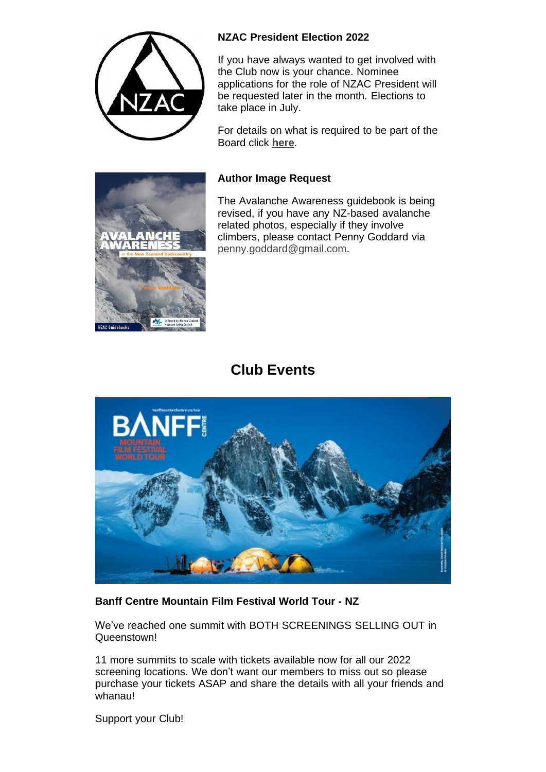

# **NZAC President Election 2022**

If you have always wanted to get involved with the Club now is your chance. Nominee applications for the role of NZAC President will be requested later in the month. Elections to take place in July.

For details on what is required to be part of the Board click **[here](https://alpineclub.org.nz/board)**.

# **Author Image Request**

The Avalanche Awareness guidebook is being revised, if you have any NZ-based avalanche related photos, especially if they involve climbers, please contact Penny Goddard via [penny.goddard@gmail.com.](mailto:penny.goddard@gmail.com)





# **Banff Centre Mountain Film Festival World Tour - NZ**

We've reached one summit with BOTH SCREENINGS SELLING OUT in Queenstown!

11 more summits to scale with tickets available now for all our 2022 screening locations. We don't want our members to miss out so please purchase your tickets ASAP and share the details with all your friends and whanau!

Support your Club!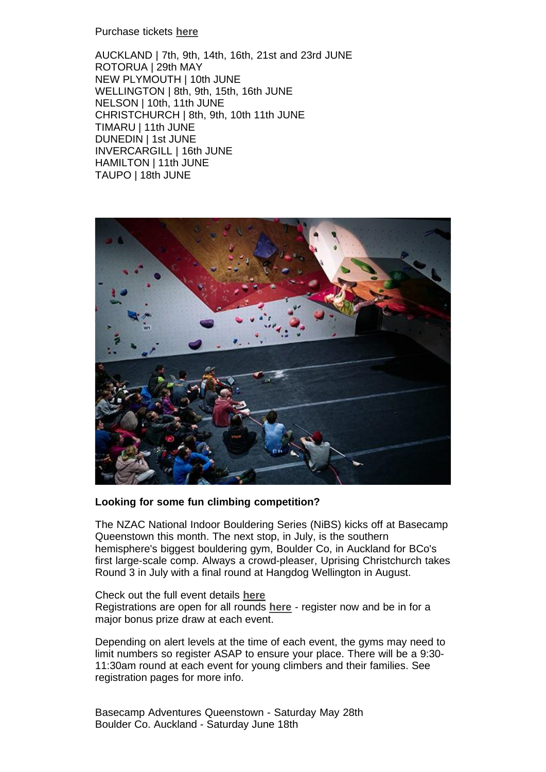#### Purchase tickets **[here](https://banff.nz/tickets-venues/)**

AUCKLAND | 7th, 9th, 14th, 16th, 21st and 23rd JUNE ROTORUA | 29th MAY NEW PLYMOUTH | 10th JUNE WELLINGTON | 8th, 9th, 15th, 16th JUNE NELSON | 10th, 11th JUNE CHRISTCHURCH | 8th, 9th, 10th 11th JUNE TIMARU | 11th JUNE DUNEDIN | 1st JUNE INVERCARGILL | 16th JUNE HAMILTON | 11th JUNE TAUPO | 18th JUNE



## **Looking for some fun climbing competition?**

The NZAC National Indoor Bouldering Series (NiBS) kicks off at Basecamp Queenstown this month. The next stop, in July, is the southern hemisphere's biggest bouldering gym, Boulder Co, in Auckland for BCo's first large-scale comp. Always a crowd-pleaser, Uprising Christchurch takes Round 3 in July with a final round at Hangdog Wellington in August.

Check out the full event details **[here](https://nibs.nz/)** Registrations are open for all rounds **[here](https://nibs.nz/)** - register now and be in for a major bonus prize draw at each event.

Depending on alert levels at the time of each event, the gyms may need to limit numbers so register ASAP to ensure your place. There will be a 9:30- 11:30am round at each event for young climbers and their families. See registration pages for more info.

Basecamp Adventures Queenstown - Saturday May 28th Boulder Co. Auckland - Saturday June 18th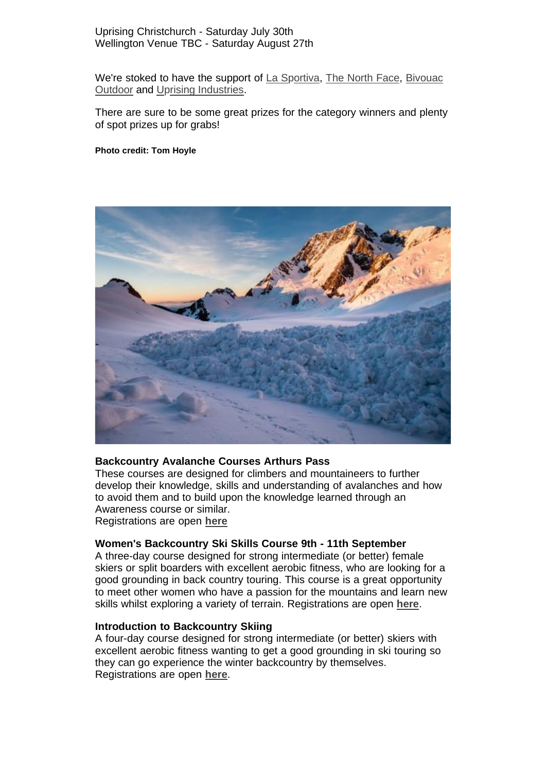#### Uprising Christchurch - Saturday July 30th Wellington Venue TBC - Saturday August 27th

We're stoked to have the support of La [Sportiva,](https://www.bivouac.co.nz/) The North Face, Bivouac [Outdoor](https://www.bivouac.co.nz/) and [Uprising Industries](https://uprising-online.com/)[.](https://www.bivouac.co.nz/)

There are sure to be some great prizes for the category winners and plenty of spot prizes up for grabs!

#### **Photo credit: Tom Hoyle**



#### **Backcountry Avalanche Courses Arthurs Pass**

These courses are designed for climbers and mountaineers to further develop their knowledge, skills and understanding of avalanches and how to avoid them and to build upon the knowledge learned through an Awareness course or similar. Registrations are open **[here](https://alpineclub.org.nz/courses)**

#### **Women's Backcountry Ski Skills Course 9th - 11th September**

A three-day course designed for strong intermediate (or better) female skiers or split boarders with excellent aerobic fitness, who are looking for a good grounding in back country touring. This course is a great opportunity to meet other women who have a passion for the mountains and learn new skills whilst exploring a variety of terrain. Registrations are open **[here](https://alpineclub.org.nz/courses)**.

#### **Introduction to Backcountry Skiing**

A four-day course designed for strong intermediate (or better) skiers with excellent aerobic fitness wanting to get a good grounding in ski touring so they can go experience the winter backcountry by themselves. Registrations are open **[here](https://alpineclub.org.nz/courses)**.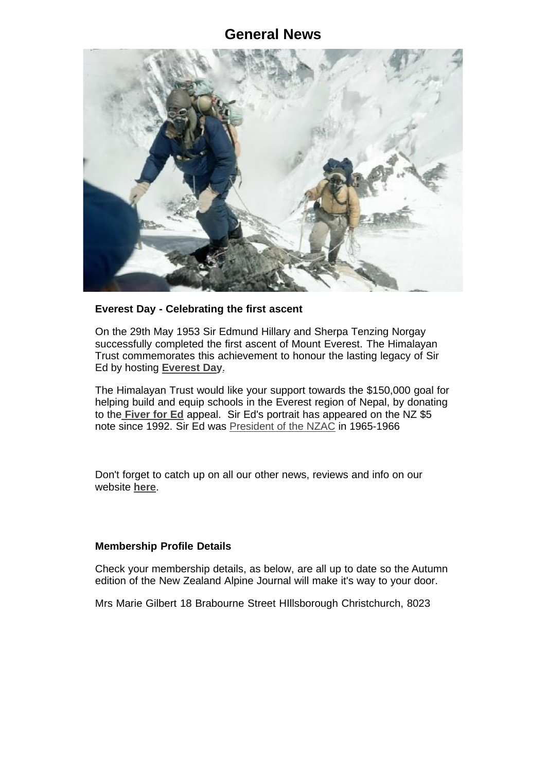# **General News**



## **Everest Day - Celebrating the first ascent**

On the 29th May 1953 Sir Edmund Hillary and Sherpa Tenzing Norgay successfully completed the first ascent of Mount Everest. The Himalayan Trust commemorates this achievement to honour the lasting legacy of Sir Ed by hosting **[Everest Day](https://himalayantrust.org/everest-day)**.

The Himalayan Trust would like your support towards the \$150,000 goal for helping build and equip schools in the Everest region of Nepal, by donating to the **[Fiver](https://fiverfored.nz/) for Ed** appeal. Sir Ed's portrait has appeared on the NZ \$5 note since 1992. Sir Ed was [President](https://alpineclub.org.nz/heritage) of the NZAC in 1965-1966

Don't forget to catch up on all our other news, reviews and info on our website **[here](https://alpineclub.org.nz/)**.

## **Membership Profile Details**

Check your membership details, as below, are all up to date so the Autumn edition of the New Zealand Alpine Journal will make it's way to your door.

Mrs Marie Gilbert 18 Brabourne Street HIllsborough Christchurch, 8023